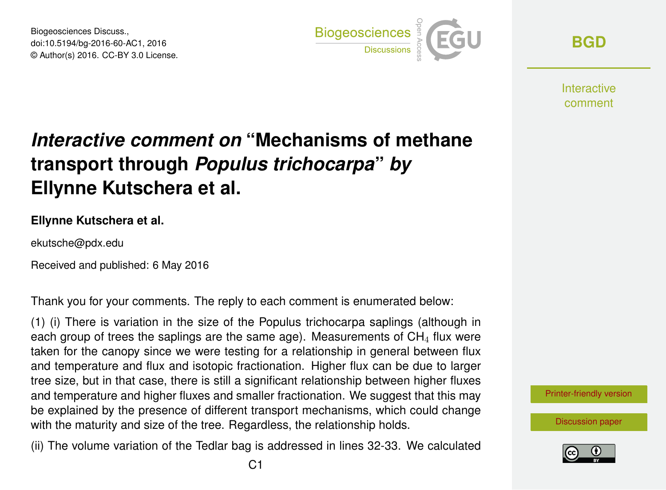Biogeosciences Discuss., doi:10.5194/bg-2016-60-AC1, 2016 © Author(s) 2016. CC-BY 3.0 License.



**[BGD](http://www.biogeosciences-discuss.net/)**

**Interactive** comment

## *Interactive comment on* **"Mechanisms of methane transport through** *Populus trichocarpa***"** *by* **Ellynne Kutschera et al.**

## **Ellynne Kutschera et al.**

ekutsche@pdx.edu

Received and published: 6 May 2016

Thank you for your comments. The reply to each comment is enumerated below:

(1) (i) There is variation in the size of the Populus trichocarpa saplings (although in each group of trees the saplings are the same age). Measurements of  $CH<sub>4</sub>$  flux were taken for the canopy since we were testing for a relationship in general between flux and temperature and flux and isotopic fractionation. Higher flux can be due to larger tree size, but in that case, there is still a significant relationship between higher fluxes and temperature and higher fluxes and smaller fractionation. We suggest that this may be explained by the presence of different transport mechanisms, which could change with the maturity and size of the tree. Regardless, the relationship holds.

(ii) The volume variation of the Tedlar bag is addressed in lines 32-33. We calculated



[Discussion paper](http://www.biogeosciences-discuss.net/bg-2016-60)

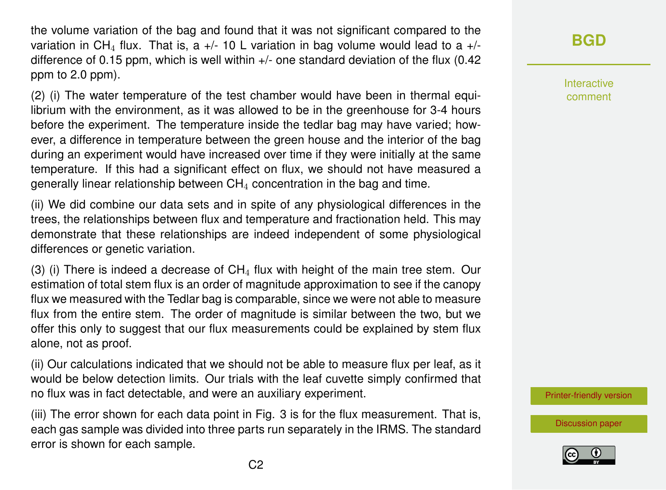the volume variation of the bag and found that it was not significant compared to the variation in CH<sub>4</sub> flux. That is, a  $+/-$  10 L variation in bag volume would lead to a  $+/$ difference of 0.15 ppm, which is well within  $+/-$  one standard deviation of the flux (0.42 ppm to 2.0 ppm).

(2) (i) The water temperature of the test chamber would have been in thermal equilibrium with the environment, as it was allowed to be in the greenhouse for 3-4 hours before the experiment. The temperature inside the tedlar bag may have varied; however, a difference in temperature between the green house and the interior of the bag during an experiment would have increased over time if they were initially at the same temperature. If this had a significant effect on flux, we should not have measured a generally linear relationship between  $CH<sub>4</sub>$  concentration in the bag and time.

(ii) We did combine our data sets and in spite of any physiological differences in the trees, the relationships between flux and temperature and fractionation held. This may demonstrate that these relationships are indeed independent of some physiological differences or genetic variation.

(3) (i) There is indeed a decrease of  $CH<sub>4</sub>$  flux with height of the main tree stem. Our estimation of total stem flux is an order of magnitude approximation to see if the canopy flux we measured with the Tedlar bag is comparable, since we were not able to measure flux from the entire stem. The order of magnitude is similar between the two, but we offer this only to suggest that our flux measurements could be explained by stem flux alone, not as proof.

(ii) Our calculations indicated that we should not be able to measure flux per leaf, as it would be below detection limits. Our trials with the leaf cuvette simply confirmed that no flux was in fact detectable, and were an auxiliary experiment.

(iii) The error shown for each data point in Fig. 3 is for the flux measurement. That is, each gas sample was divided into three parts run separately in the IRMS. The standard error is shown for each sample.

## **[BGD](http://www.biogeosciences-discuss.net/)**

Interactive comment

[Printer-friendly version](http://www.biogeosciences-discuss.net/bg-2016-60/bg-2016-60-AC1-print.pdf)

[Discussion paper](http://www.biogeosciences-discuss.net/bg-2016-60)